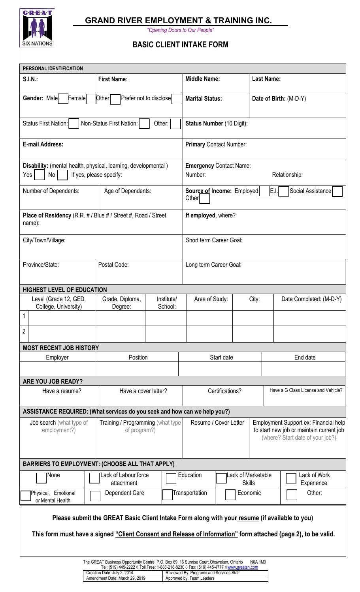

## **GRAND RIVER EMPLOYMENT & TRAINING INC.**

*"Opening Doors to Our People"*

## **BASIC CLIENT INTAKE FORM**

| PERSONAL IDENTIFICATION                                                                                             |                                  |                                                   |  |                                                  |                                                                  |       |  |                                                                                                                       |                                     |  |                            |  |
|---------------------------------------------------------------------------------------------------------------------|----------------------------------|---------------------------------------------------|--|--------------------------------------------------|------------------------------------------------------------------|-------|--|-----------------------------------------------------------------------------------------------------------------------|-------------------------------------|--|----------------------------|--|
| <b>S.I.N.:</b>                                                                                                      |                                  | <b>First Name:</b>                                |  |                                                  | <b>Middle Name:</b>                                              |       |  | <b>Last Name:</b>                                                                                                     |                                     |  |                            |  |
| Gender: Male<br>Other<br>Female<br>Prefer not to disclose                                                           |                                  |                                                   |  | <b>Marital Status:</b><br>Date of Birth: (M-D-Y) |                                                                  |       |  |                                                                                                                       |                                     |  |                            |  |
| Non-Status First Nation:<br>Status First Nation:                                                                    | <b>Status Number (10 Digit):</b> |                                                   |  |                                                  |                                                                  |       |  |                                                                                                                       |                                     |  |                            |  |
| <b>E-mail Address:</b>                                                                                              |                                  |                                                   |  |                                                  | <b>Primary Contact Number:</b>                                   |       |  |                                                                                                                       |                                     |  |                            |  |
| Disability: (mental health, physical, learning, developmental)<br>No <sub>1</sub><br>If yes, please specify:<br>Yes |                                  |                                                   |  |                                                  | <b>Emergency Contact Name:</b><br>Number:<br>Relationship:       |       |  |                                                                                                                       |                                     |  |                            |  |
| Number of Dependents:                                                                                               |                                  | Age of Dependents:                                |  |                                                  | E.I.<br>Social Assistance<br>Source of Income: Employed<br>Other |       |  |                                                                                                                       |                                     |  |                            |  |
| Place of Residency (R.R. # / Blue # / Street #, Road / Street<br>name):                                             | If employed, where?              |                                                   |  |                                                  |                                                                  |       |  |                                                                                                                       |                                     |  |                            |  |
| City/Town/Village:                                                                                                  |                                  |                                                   |  |                                                  | Short term Career Goal:                                          |       |  |                                                                                                                       |                                     |  |                            |  |
| Province/State:                                                                                                     |                                  | Postal Code:                                      |  |                                                  | Long term Career Goal:                                           |       |  |                                                                                                                       |                                     |  |                            |  |
| <b>HIGHEST LEVEL OF EDUCATION</b>                                                                                   |                                  |                                                   |  |                                                  |                                                                  |       |  |                                                                                                                       |                                     |  |                            |  |
| Level (Grade 12, GED,<br>College, University)<br>1                                                                  |                                  | Grade, Diploma,<br>Degree:                        |  | Institute/<br>School:                            | Area of Study:                                                   | City: |  |                                                                                                                       | Date Completed: (M-D-Y)             |  |                            |  |
| $\overline{2}$                                                                                                      |                                  |                                                   |  |                                                  |                                                                  |       |  |                                                                                                                       |                                     |  |                            |  |
| <b>MOST RECENT JOB HISTORY</b>                                                                                      |                                  |                                                   |  |                                                  |                                                                  |       |  |                                                                                                                       |                                     |  |                            |  |
| Employer                                                                                                            |                                  | Position                                          |  |                                                  | Start date                                                       |       |  |                                                                                                                       | End date                            |  |                            |  |
| ARE YOU JOB READY?                                                                                                  |                                  |                                                   |  |                                                  |                                                                  |       |  |                                                                                                                       |                                     |  |                            |  |
| Have a resume?                                                                                                      |                                  | Have a cover letter?                              |  |                                                  | Certifications?                                                  |       |  |                                                                                                                       | Have a G Class License and Vehicle? |  |                            |  |
| ASSISTANCE REQUIRED: (What services do you seek and how can we help you?)                                           |                                  |                                                   |  |                                                  |                                                                  |       |  |                                                                                                                       |                                     |  |                            |  |
| Job search (what type of<br>employment?)                                                                            |                                  | Training / Programming (what type<br>of program?) |  |                                                  | Resume / Cover Letter                                            |       |  | Employment Support ex: Financial help<br>to start new job or maintain current job<br>(where? Start date of your job?) |                                     |  |                            |  |
| <b>BARRIERS TO EMPLOYMENT: (CHOOSE ALL THAT APPLY)</b>                                                              |                                  |                                                   |  |                                                  |                                                                  |       |  |                                                                                                                       |                                     |  |                            |  |
| None                                                                                                                |                                  | Lack of Labour force<br>attachment                |  |                                                  | Education<br>Lack of Marketable<br><b>Skills</b>                 |       |  |                                                                                                                       |                                     |  | Lack of Work<br>Experience |  |
| Physical, Emotional<br>or Mental Health                                                                             | Dependent Care                   |                                                   |  | Transportation<br>Economic                       |                                                                  |       |  | Other:                                                                                                                |                                     |  |                            |  |
| Please submit the GREAT Basic Client Intake Form along with your resume (if available to you)                       |                                  |                                                   |  |                                                  |                                                                  |       |  |                                                                                                                       |                                     |  |                            |  |
| This form must have a signed "Client Consent and Release of Information" form attached (page 2), to be valid.       |                                  |                                                   |  |                                                  |                                                                  |       |  |                                                                                                                       |                                     |  |                            |  |
| The GREAT Business Opportunity Centre, P.O. Box 69, 16 Sunrise Court, Ohsweken, Ontario<br><b>N0A 1M0</b>           |                                  |                                                   |  |                                                  |                                                                  |       |  |                                                                                                                       |                                     |  |                            |  |

Tel: (519) 445-2222 ◊ Toll Free: 1-888-218-8230 ◊ Fax: (519) 445-4777 ◊<u>[www.greatsn.com](http://www.greatsn.com/)</u>

Creation Date: July 2, 2014 **Reviewed By: Programs and Services Staff** 

Amendment Date: March 29, 2019 | Approved by: Team Leaders